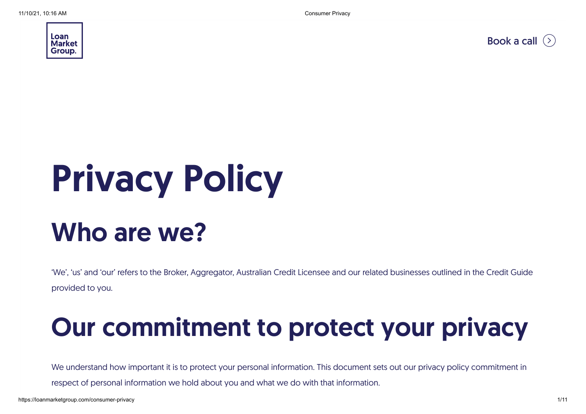

[Book a call](https://share.hsforms.com/1Kh9pE9mCQByRXodz_Mjulg2vql1)  $($ 

# Privacy Policy

#### Who are we?

'We', 'us' and 'our' refers to the Broker, Aggregator, Australian Credit Licensee and our related businesses outlined in the Credit Guide provided to you.

#### Our commitment to protect your privacy

We understand how important it is to protect your personal information. This document sets out our privacy policy commitment in respect of personal information we hold about you and what we do with that information.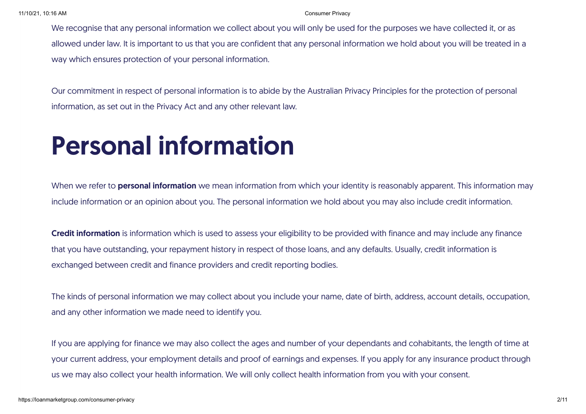#### 11/10/21, 10:16 AM Consumer Privacy

We recognise that any personal information we collect about you will only be used for the purposes we have collected it, or as allowed under law. It is important to us that you are confident that any personal information we hold about you will be treated in a way which ensures protection of your personal information.

Our commitment in respect of personal information is to abide by the Australian Privacy Principles for the protection of personal information, as set out in the Privacy Act and any other relevant law.

#### Personal information

When we refer to **personal information** we mean information from which your identity is reasonably apparent. This information may include information or an opinion about you. The personal information we hold about you may also include credit information.

Credit information is information which is used to assess your eligibility to be provided with finance and may include any finance that you have outstanding, your repayment history in respect of those loans, and any defaults. Usually, credit information is exchanged between credit and finance providers and credit reporting bodies.

The kinds of personal information we may collect about you include your name, date of birth, address, account details, occupation, and any other information we made need to identify you.

If you are applying for finance we may also collect the ages and number of your dependants and cohabitants, the length of time at your current address, your employment details and proof of earnings and expenses. If you apply for any insurance product through us we may also collect your health information. We will only collect health information from you with your consent.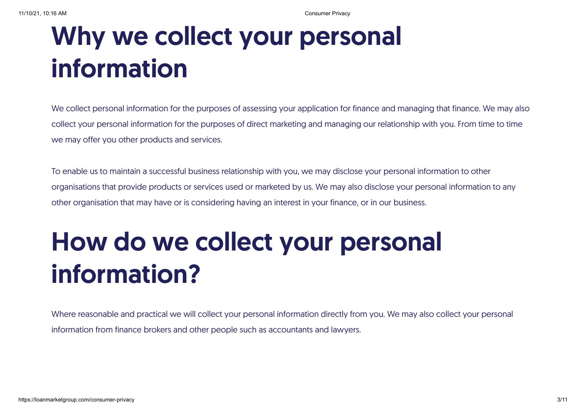### Why we collect your personal information

We collect personal information for the purposes of assessing your application for finance and managing that finance. We may also collect your personal information for the purposes of direct marketing and managing our relationship with you. From time to time we may offer you other products and services.

To enable us to maintain a successful business relationship with you, we may disclose your personal information to other organisations that provide products or services used or marketed by us. We may also disclose your personal information to any other organisation that may have or is considering having an interest in your finance, or in our business.

### How do we collect your personal information?

Where reasonable and practical we will collect your personal information directly from you. We may also collect your personal information from finance brokers and other people such as accountants and lawyers.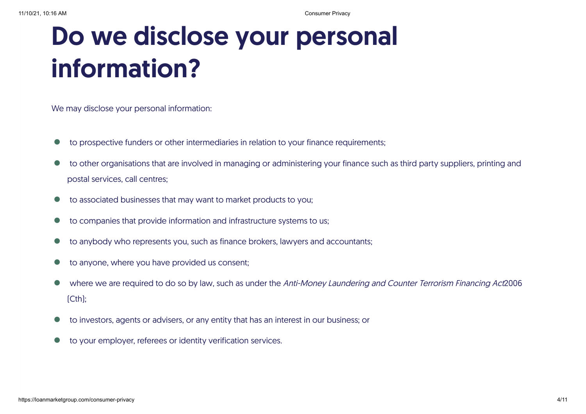#### Do we disclose your personal information?

We may disclose your personal information:

- to prospective funders or other intermediaries in relation to your finance requirements; •
- to other organisations that are involved in managing or administering your finance such as third party suppliers, printing and postal services, call centres; •
- to associated businesses that may want to market products to you; •
- to companies that provide information and infrastructure systems to us;  $\bullet$
- to anybody who represents you, such as finance brokers, lawyers and accountants; •
- to anyone, where you have provided us consent; •
- where we are required to do so by law, such as under the Anti-Money Laundering and Counter Terrorism Financing Act2006 (Cth); •
- to investors, agents or advisers, or any entity that has an interest in our business; or •
- to your employer, referees or identity verification services. •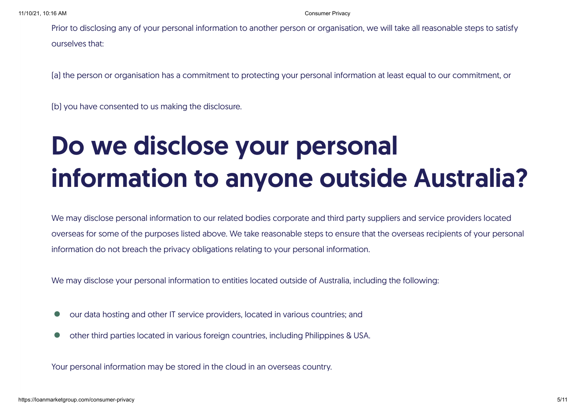Prior to disclosing any of your personal information to another person or organisation, we will take all reasonable steps to satisfy ourselves that:

(a) the person or organisation has a commitment to protecting your personal information at least equal to our commitment, or

(b) you have consented to us making the disclosure.

### Do we disclose your personal information to anyone outside Australia?

We may disclose personal information to our related bodies corporate and third party suppliers and service providers located overseas for some of the purposes listed above. We take reasonable steps to ensure that the overseas recipients of your personal information do not breach the privacy obligations relating to your personal information.

We may disclose your personal information to entities located outside of Australia, including the following:

- our data hosting and other IT service providers, located in various countries; and  $\bullet$
- other third parties located in various foreign countries, including Philippines & USA.  $\bullet$

Your personal information may be stored in the cloud in an overseas country.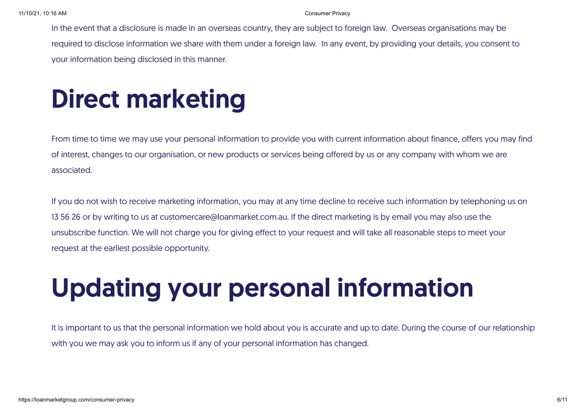In the event that a disclosure is made in an overseas country, they are subject to foreign law. Overseas organisations may be required to disclose information we share with them under a foreign law. In any event, by providing your details, you consent to your information being disclosed in this manner.

#### Direct marketing

From time to time we may use your personal information to provide you with current information about finance, offers you may find of interest, changes to our organisation, or new products or services being offered by us or any company with whom we are associated.

If you do not wish to receive marketing information, you may at any time decline to receive such information by telephoning us on 13 56 26 or by writing to us at customercare@loanmarket.com.au. If the direct marketing is by email you may also use the unsubscribe function. We will not charge you for giving effect to your request and will take all reasonable steps to meet your request at the earliest possible opportunity.

## Updating your personal information

It is important to us that the personal information we hold about you is accurate and up to date. During the course of our relationship with you we may ask you to inform us if any of your personal information has changed.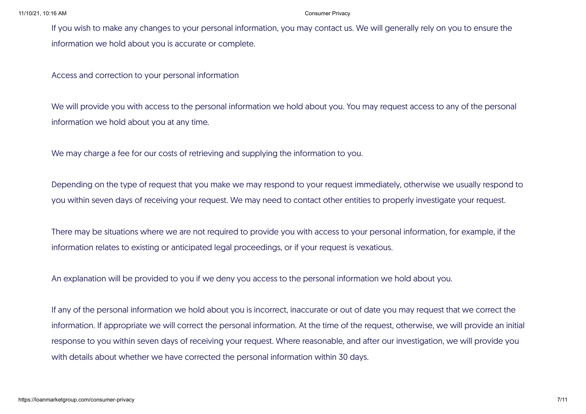If you wish to make any changes to your personal information, you may contact us. We will generally rely on you to ensure the information we hold about you is accurate or complete.

Access and correction to your personal information

We will provide you with access to the personal information we hold about you. You may request access to any of the personal information we hold about you at any time.

We may charge a fee for our costs of retrieving and supplying the information to you.

Depending on the type of request that you make we may respond to your request immediately, otherwise we usually respond to you within seven days of receiving your request. We may need to contact other entities to properly investigate your request.

There may be situations where we are not required to provide you with access to your personal information, for example, if the information relates to existing or anticipated legal proceedings, or if your request is vexatious.

An explanation will be provided to you if we deny you access to the personal information we hold about you.

If any of the personal information we hold about you is incorrect, inaccurate or out of date you may request that we correct the information. If appropriate we will correct the personal information. At the time of the request, otherwise, we will provide an initial response to you within seven days of receiving your request. Where reasonable, and after our investigation, we will provide you with details about whether we have corrected the personal information within 30 days.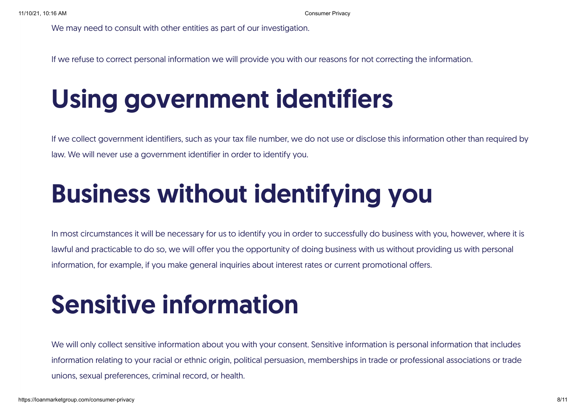We may need to consult with other entities as part of our investigation.

If we refuse to correct personal information we will provide you with our reasons for not correcting the information.

#### Using government identifiers

If we collect government identifiers, such as your tax file number, we do not use or disclose this information other than required by law. We will never use a government identifier in order to identify you.

### Business without identifying you

In most circumstances it will be necessary for us to identify you in order to successfully do business with you, however, where it is lawful and practicable to do so, we will offer you the opportunity of doing business with us without providing us with personal information, for example, if you make general inquiries about interest rates or current promotional offers.

#### Sensitive information

We will only collect sensitive information about you with your consent. Sensitive information is personal information that includes information relating to your racial or ethnic origin, political persuasion, memberships in trade or professional associations or trade unions, sexual preferences, criminal record, or health.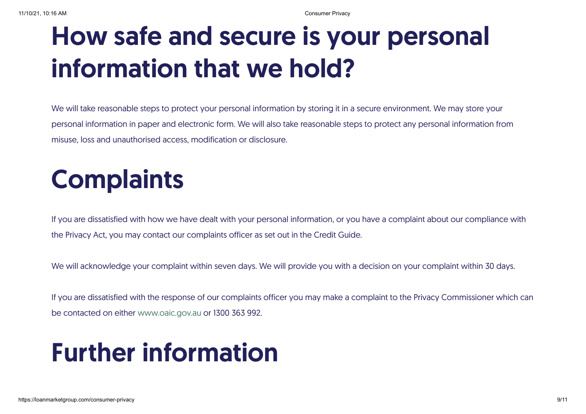#### How safe and secure is your personal information that we hold?

We will take reasonable steps to protect your personal information by storing it in a secure environment. We may store your personal information in paper and electronic form. We will also take reasonable steps to protect any personal information from misuse, loss and unauthorised access, modification or disclosure.

### **Complaints**

If you are dissatisfied with how we have dealt with your personal information, or you have a complaint about our compliance with the Privacy Act, you may contact our complaints officer as set out in the Credit Guide.

We will acknowledge your complaint within seven days. We will provide you with a decision on your complaint within 30 days.

If you are dissatisfied with the response of our complaints officer you may make a complaint to the Privacy Commissioner which can be contacted on either [www.oaic.gov.au](http://www.oaic.gov.au/) or 1300 363 992.

#### Further information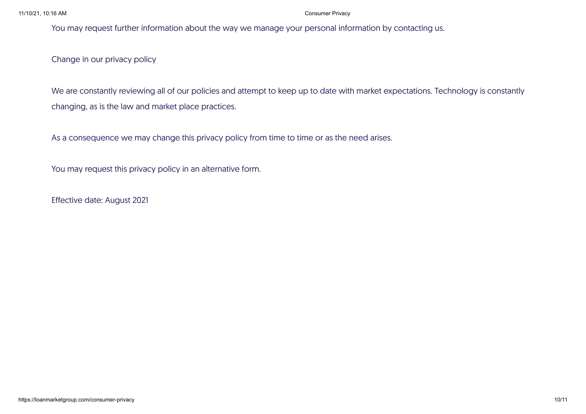#### 11/10/21, 10:16 AM Consumer Privacy

You may request further information about the way we manage your personal information by contacting us.

Change in our privacy policy

We are constantly reviewing all of our policies and attempt to keep up to date with market expectations. Technology is constantly changing, as is the law and market place practices.

As a consequence we may change this privacy policy from time to time or as the need arises.

You may request this privacy policy in an alternative form.

Effective date: August 2021